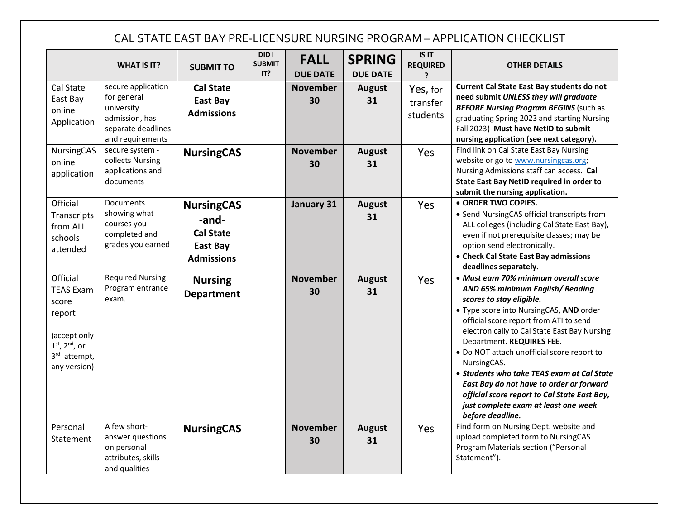## CAL STATE EAST BAY PRE-LICENSURE NURSING PROGRAM – APPLICATION CHECKLIST

|                                                                                                                       | <b>WHAT IS IT?</b>                                                                                          | <b>SUBMIT TO</b>                                                                | DID I<br><b>SUBMIT</b><br>IT? | <b>FALL</b><br><b>DUE DATE</b> | <b>SPRING</b><br><b>DUE DATE</b> | <b>IS IT</b><br><b>REQUIRED</b>  | <b>OTHER DETAILS</b>                                                                                                                                                                                                                                                                                                                                                                                                                                                                                                                      |
|-----------------------------------------------------------------------------------------------------------------------|-------------------------------------------------------------------------------------------------------------|---------------------------------------------------------------------------------|-------------------------------|--------------------------------|----------------------------------|----------------------------------|-------------------------------------------------------------------------------------------------------------------------------------------------------------------------------------------------------------------------------------------------------------------------------------------------------------------------------------------------------------------------------------------------------------------------------------------------------------------------------------------------------------------------------------------|
| Cal State<br>East Bay<br>online<br>Application                                                                        | secure application<br>for general<br>university<br>admission, has<br>separate deadlines<br>and requirements | <b>Cal State</b><br>East Bay<br><b>Admissions</b>                               |                               | <b>November</b><br>30          | <b>August</b><br>31              | Yes, for<br>transfer<br>students | Current Cal State East Bay students do not<br>need submit UNLESS they will graduate<br><b>BEFORE Nursing Program BEGINS (such as</b><br>graduating Spring 2023 and starting Nursing<br>Fall 2023) Must have NetID to submit<br>nursing application (see next category).                                                                                                                                                                                                                                                                   |
| <b>NursingCAS</b><br>online<br>application                                                                            | secure system -<br>collects Nursing<br>applications and<br>documents                                        | <b>NursingCAS</b>                                                               |                               | <b>November</b><br>30          | <b>August</b><br>31              | Yes                              | Find link on Cal State East Bay Nursing<br>website or go to www.nursingcas.org;<br>Nursing Admissions staff can access. Cal<br>State East Bay NetID required in order to<br>submit the nursing application.                                                                                                                                                                                                                                                                                                                               |
| Official<br>Transcripts<br>from ALL<br>schools<br>attended                                                            | Documents<br>showing what<br>courses you<br>completed and<br>grades you earned                              | <b>NursingCAS</b><br>-and-<br><b>Cal State</b><br>East Bay<br><b>Admissions</b> |                               | January 31                     | <b>August</b><br>31              | Yes                              | · ORDER TWO COPIES.<br>• Send NursingCAS official transcripts from<br>ALL colleges (including Cal State East Bay),<br>even if not prerequisite classes; may be<br>option send electronically.<br>• Check Cal State East Bay admissions<br>deadlines separately.                                                                                                                                                                                                                                                                           |
| Official<br><b>TEAS Exam</b><br>score<br>report<br>(accept only<br>$1st$ , $2nd$ , or<br>3rd attempt,<br>any version) | <b>Required Nursing</b><br>Program entrance<br>exam.                                                        | <b>Nursing</b><br><b>Department</b>                                             |                               | <b>November</b><br>30          | <b>August</b><br>31              | Yes                              | · Must earn 70% minimum overall score<br>AND 65% minimum English/Reading<br>scores to stay eligible.<br>. Type score into NursingCAS, AND order<br>official score report from ATI to send<br>electronically to Cal State East Bay Nursing<br>Department. REQUIRES FEE.<br>. Do NOT attach unofficial score report to<br>NursingCAS.<br>• Students who take TEAS exam at Cal State<br>East Bay do not have to order or forward<br>official score report to Cal State East Bay,<br>just complete exam at least one week<br>before deadline. |
| Personal<br>Statement                                                                                                 | A few short-<br>answer questions<br>on personal<br>attributes, skills<br>and qualities                      | <b>NursingCAS</b>                                                               |                               | <b>November</b><br>30          | <b>August</b><br>31              | Yes                              | Find form on Nursing Dept. website and<br>upload completed form to NursingCAS<br>Program Materials section ("Personal<br>Statement").                                                                                                                                                                                                                                                                                                                                                                                                     |